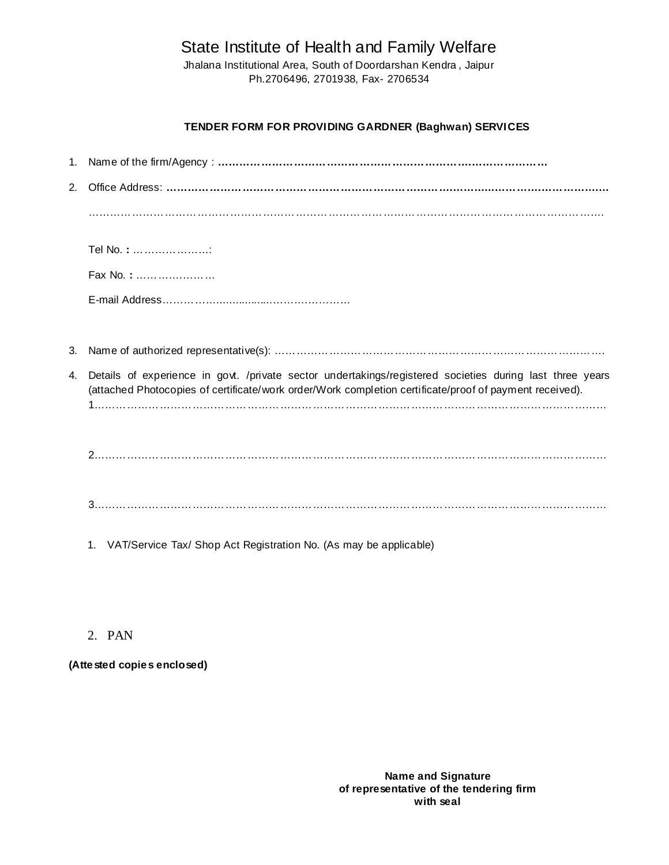State Institute of Health and Family Welfare

Jhalana Institutional Area, South of Doordarshan Kendra , Jaipur Ph.2706496, 2701938, Fax- 2706534

## **TENDER FORM FOR PROVIDING GARDNER (Baghwan) SERVICES**

| 2. |                                                                                                                                                                                                                     |
|----|---------------------------------------------------------------------------------------------------------------------------------------------------------------------------------------------------------------------|
|    |                                                                                                                                                                                                                     |
|    | Tel No.: :                                                                                                                                                                                                          |
|    | Fax No.:                                                                                                                                                                                                            |
|    |                                                                                                                                                                                                                     |
|    |                                                                                                                                                                                                                     |
| 3. |                                                                                                                                                                                                                     |
| 4. | Details of experience in govt. /private sector undertakings/registered societies during last three years<br>(attached Photocopies of certificate/work order/Work completion certificate/proof of payment received). |
|    |                                                                                                                                                                                                                     |
|    |                                                                                                                                                                                                                     |
|    | VAT/Service Tax/ Shop Act Registration No. (As may be applicable)<br>1.                                                                                                                                             |

# 2. PAN

**(Attested copies enclosed)**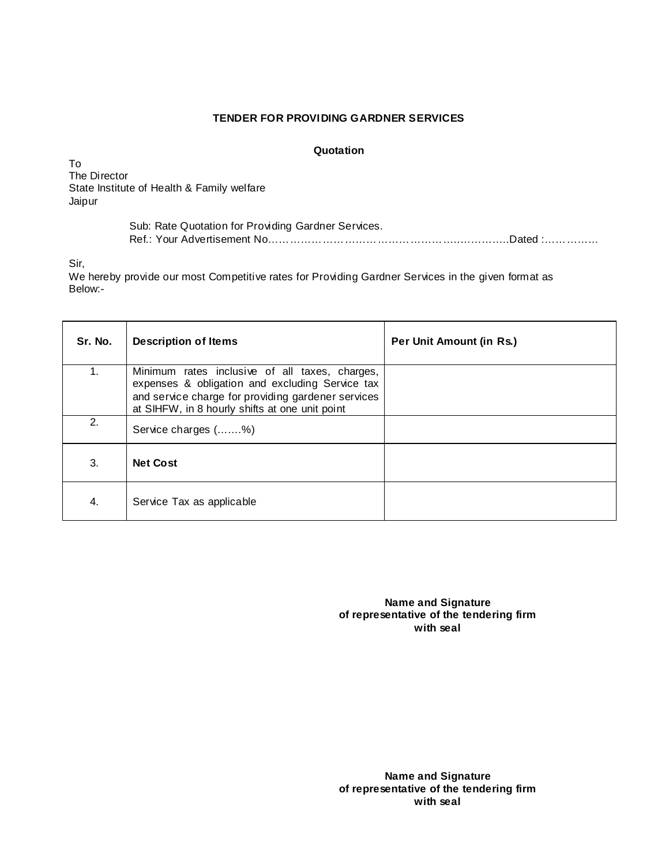### **TENDER FOR PROVIDING GARDNER SERVICES**

### **Quotation**

To The Director State Institute of Health & Family welfare Jaipur

| Sub: Rate Quotation for Providing Gardner Services. |  |
|-----------------------------------------------------|--|
|                                                     |  |

Sir,

We hereby provide our most Competitive rates for Providing Gardner Services in the given format as Below:-

| Sr. No. | <b>Description of Items</b>                                                                                                                                                                               | Per Unit Amount (in Rs.) |
|---------|-----------------------------------------------------------------------------------------------------------------------------------------------------------------------------------------------------------|--------------------------|
| 1.      | Minimum rates inclusive of all taxes, charges,<br>expenses & obligation and excluding Service tax<br>and service charge for providing gardener services<br>at SIHFW, in 8 hourly shifts at one unit point |                          |
| 2.      | Service charges (%)                                                                                                                                                                                       |                          |
| 3.      | <b>Net Cost</b>                                                                                                                                                                                           |                          |
| 4.      | Service Tax as applicable                                                                                                                                                                                 |                          |

**Name and Signature of representative of the tendering firm with seal**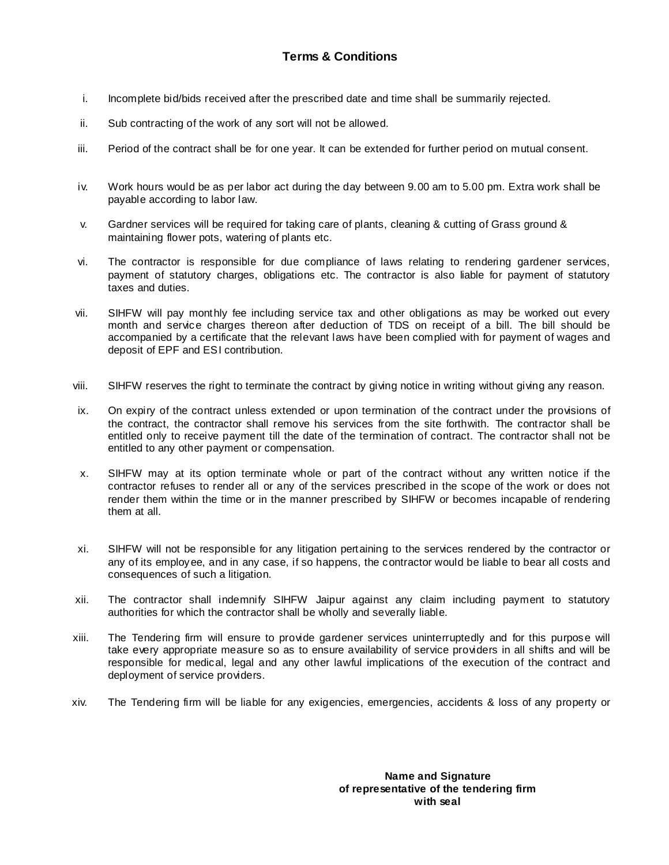- i. Incomplete bid/bids received after the prescribed date and time shall be summarily rejected.
- ii. Sub contracting of the work of any sort will not be allowed.
- iii. Period of the contract shall be for one year. It can be extended for further period on mutual consent.
- iv. Work hours would be as per labor act during the day between 9.00 am to 5.00 pm. Extra work shall be payable according to labor law.
- v. Gardner services will be required for taking care of plants, cleaning & cutting of Grass ground & maintaining flower pots, watering of plants etc.
- vi. The contractor is responsible for due compliance of laws relating to rendering gardener services, payment of statutory charges, obligations etc. The contractor is also liable for payment of statutory taxes and duties.
- vii. SIHFW will pay monthly fee including service tax and other obligations as may be worked out every month and service charges thereon after deduction of TDS on receipt of a bill. The bill should be accompanied by a certificate that the relevant laws have been complied with for payment of wages and deposit of EPF and ESI contribution.
- viii. SIHFW reserves the right to terminate the contract by giving notice in writing without giving any reason.
- ix. On expiry of the contract unless extended or upon termination of the contract under the provisions of the contract, the contractor shall remove his services from the site forthwith. The contractor shall be entitled only to receive payment till the date of the termination of contract. The contractor shall not be entitled to any other payment or compensation.
- x. SIHFW may at its option terminate whole or part of the contract without any written notice if the contractor refuses to render all or any of the services prescribed in the scope of the work or does not render them within the time or in the manner prescribed by SIHFW or becomes incapable of rendering them at all.
- xi. SIHFW will not be responsible for any litigation pertaining to the services rendered by the contractor or any of its employee, and in any case, if so happens, the contractor would be liable to bear all costs and consequences of such a litigation.
- xii. The contractor shall indemnify SIHFW Jaipur against any claim including payment to statutory authorities for which the contractor shall be wholly and severally liable.
- xiii. The Tendering firm will ensure to provide gardener services uninterruptedly and for this purpose will take every appropriate measure so as to ensure availability of service providers in all shifts and will be responsible for medical, legal and any other lawful implications of the execution of the contract and deployment of service providers.
- xiv. The Tendering firm will be liable for any exigencies, emergencies, accidents & loss of any property or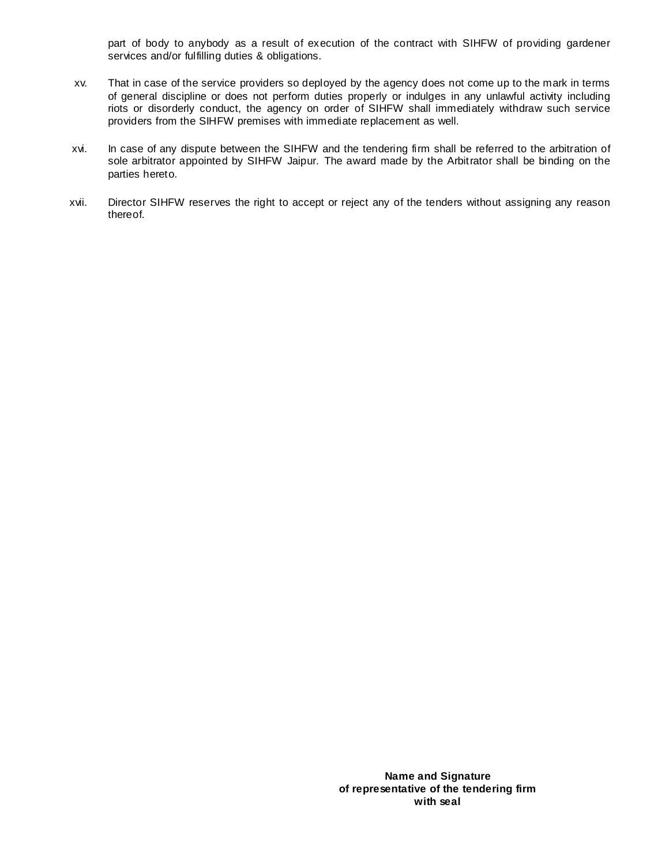part of body to anybody as a result of execution of the contract with SIHFW of providing gardener services and/or fulfilling duties & obligations.

- xv. That in case of the service providers so deployed by the agency does not come up to the mark in terms of general discipline or does not perform duties properly or indulges in any unlawful activity including riots or disorderly conduct, the agency on order of SIHFW shall immediately withdraw such service providers from the SIHFW premises with immediate replacement as well.
- xvi. In case of any dispute between the SIHFW and the tendering firm shall be referred to the arbitration of sole arbitrator appointed by SIHFW Jaipur. The award made by the Arbitrator shall be binding on the parties hereto.
- xvii. Director SIHFW reserves the right to accept or reject any of the tenders without assigning any reason thereof.